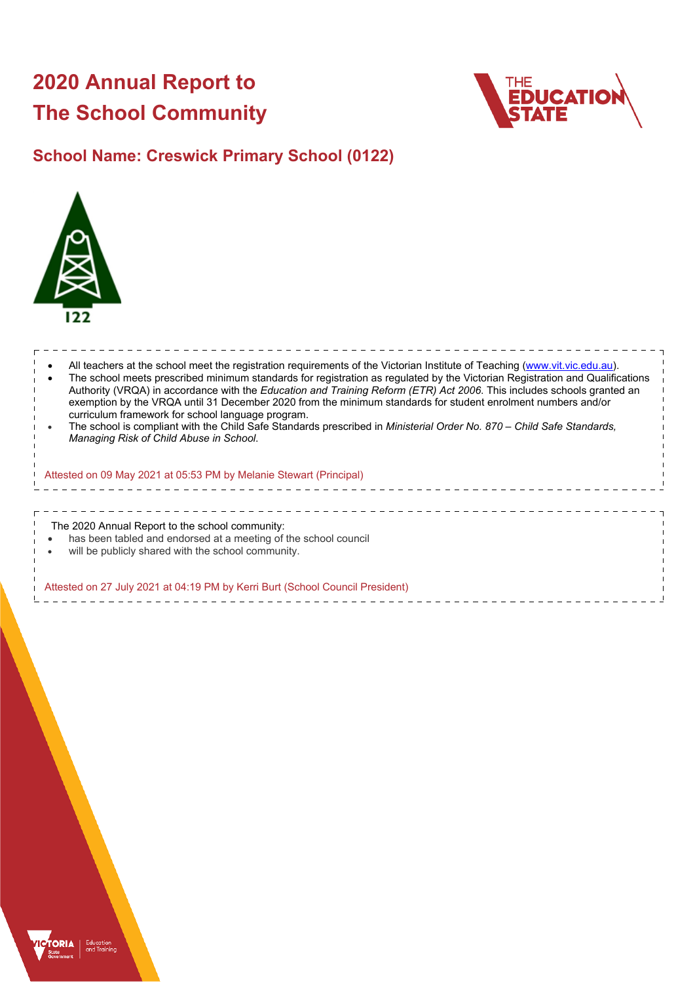# **2020 Annual Report to The School Community**



# **School Name: Creswick Primary School (0122)**



| All teachers at the school meet the registration requirements of the Victorian Institute of Teaching (www.vit.vic.edu.au).<br>The school meets prescribed minimum standards for registration as regulated by the Victorian Registration and Qualifications<br>Authority (VRQA) in accordance with the Education and Training Reform (ETR) Act 2006. This includes schools granted an<br>exemption by the VRQA until 31 December 2020 from the minimum standards for student enrolment numbers and/or<br>curriculum framework for school language program.<br>The school is compliant with the Child Safe Standards prescribed in Ministerial Order No. 870 - Child Safe Standards,<br>Managing Risk of Child Abuse in School.<br>Attested on 09 May 2021 at 05:53 PM by Melanie Stewart (Principal) |  |
|-----------------------------------------------------------------------------------------------------------------------------------------------------------------------------------------------------------------------------------------------------------------------------------------------------------------------------------------------------------------------------------------------------------------------------------------------------------------------------------------------------------------------------------------------------------------------------------------------------------------------------------------------------------------------------------------------------------------------------------------------------------------------------------------------------|--|
| The 2020 Annual Report to the school community:<br>has been tabled and endorsed at a meeting of the school council<br>will be publicly shared with the school community.<br>Attested on 27 July 2021 at 04:19 PM by Kerri Burt (School Council President)                                                                                                                                                                                                                                                                                                                                                                                                                                                                                                                                           |  |

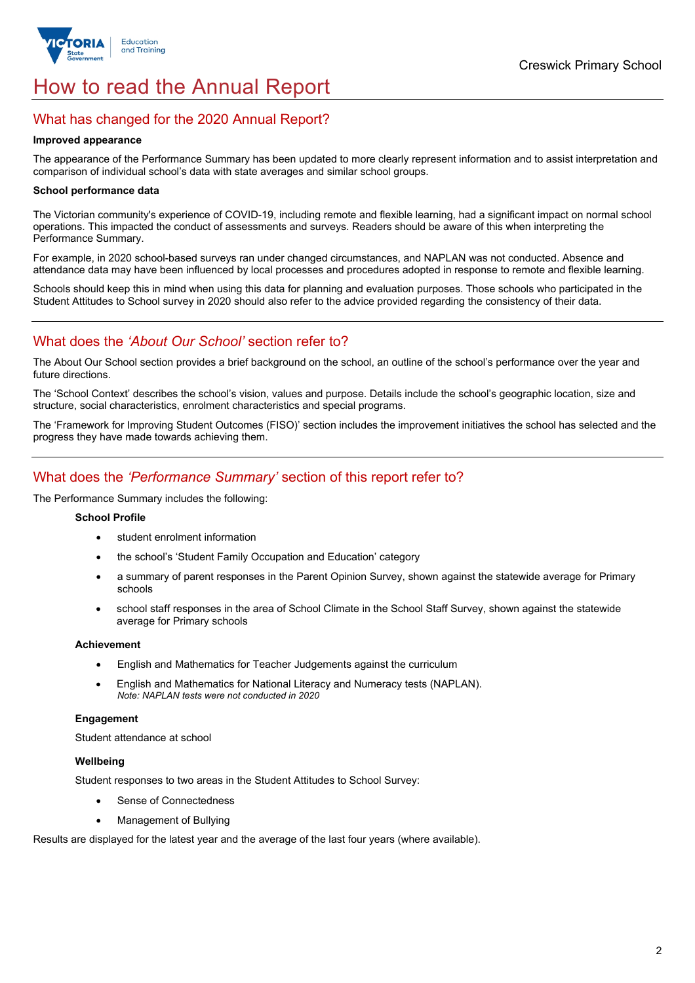

# How to read the Annual Report

# What has changed for the 2020 Annual Report?

#### **Improved appearance**

The appearance of the Performance Summary has been updated to more clearly represent information and to assist interpretation and comparison of individual school's data with state averages and similar school groups.

#### **School performance data**

The Victorian community's experience of COVID-19, including remote and flexible learning, had a significant impact on normal school operations. This impacted the conduct of assessments and surveys. Readers should be aware of this when interpreting the Performance Summary.

For example, in 2020 school-based surveys ran under changed circumstances, and NAPLAN was not conducted. Absence and attendance data may have been influenced by local processes and procedures adopted in response to remote and flexible learning.

Schools should keep this in mind when using this data for planning and evaluation purposes. Those schools who participated in the Student Attitudes to School survey in 2020 should also refer to the advice provided regarding the consistency of their data.

# What does the *'About Our School'* section refer to?

The About Our School section provides a brief background on the school, an outline of the school's performance over the year and future directions.

The 'School Context' describes the school's vision, values and purpose. Details include the school's geographic location, size and structure, social characteristics, enrolment characteristics and special programs.

The 'Framework for Improving Student Outcomes (FISO)' section includes the improvement initiatives the school has selected and the progress they have made towards achieving them.

# What does the *'Performance Summary'* section of this report refer to?

The Performance Summary includes the following:

#### **School Profile**

- student enrolment information
- the school's 'Student Family Occupation and Education' category
- a summary of parent responses in the Parent Opinion Survey, shown against the statewide average for Primary schools
- school staff responses in the area of School Climate in the School Staff Survey, shown against the statewide average for Primary schools

#### **Achievement**

- English and Mathematics for Teacher Judgements against the curriculum
- English and Mathematics for National Literacy and Numeracy tests (NAPLAN). *Note: NAPLAN tests were not conducted in 2020*

### **Engagement**

Student attendance at school

### **Wellbeing**

Student responses to two areas in the Student Attitudes to School Survey:

- Sense of Connectedness
- Management of Bullying

Results are displayed for the latest year and the average of the last four years (where available).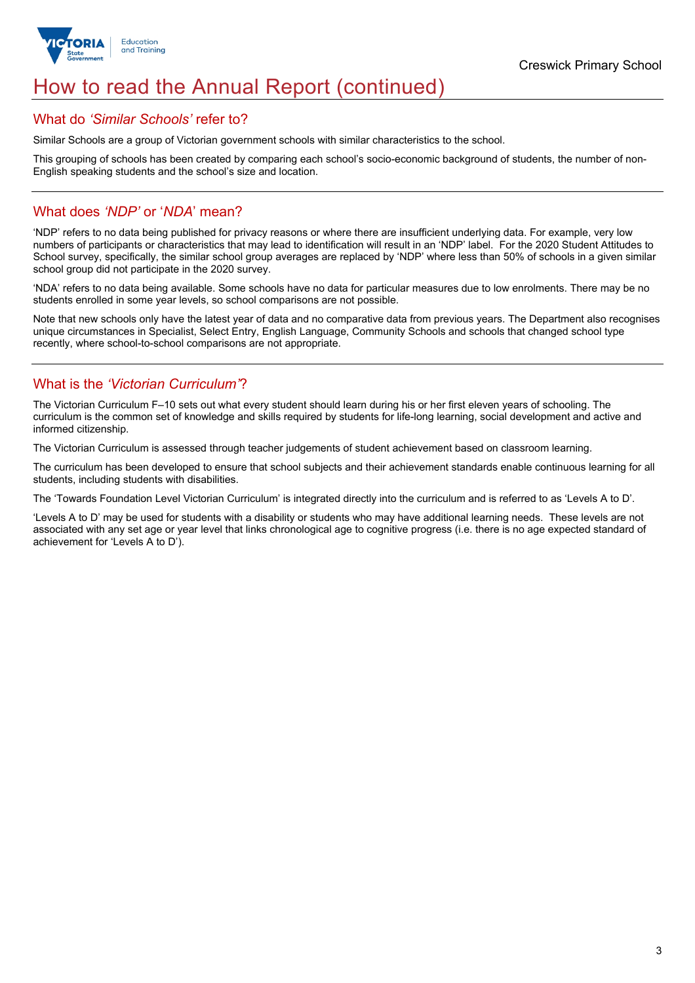

# How to read the Annual Report (continued)

### What do *'Similar Schools'* refer to?

Similar Schools are a group of Victorian government schools with similar characteristics to the school.

This grouping of schools has been created by comparing each school's socio-economic background of students, the number of non-English speaking students and the school's size and location.

# What does *'NDP'* or '*NDA*' mean?

'NDP' refers to no data being published for privacy reasons or where there are insufficient underlying data. For example, very low numbers of participants or characteristics that may lead to identification will result in an 'NDP' label. For the 2020 Student Attitudes to School survey, specifically, the similar school group averages are replaced by 'NDP' where less than 50% of schools in a given similar school group did not participate in the 2020 survey.

'NDA' refers to no data being available. Some schools have no data for particular measures due to low enrolments. There may be no students enrolled in some year levels, so school comparisons are not possible.

Note that new schools only have the latest year of data and no comparative data from previous years. The Department also recognises unique circumstances in Specialist, Select Entry, English Language, Community Schools and schools that changed school type recently, where school-to-school comparisons are not appropriate.

# What is the *'Victorian Curriculum'*?

The Victorian Curriculum F–10 sets out what every student should learn during his or her first eleven years of schooling. The curriculum is the common set of knowledge and skills required by students for life-long learning, social development and active and informed citizenship.

The Victorian Curriculum is assessed through teacher judgements of student achievement based on classroom learning.

The curriculum has been developed to ensure that school subjects and their achievement standards enable continuous learning for all students, including students with disabilities.

The 'Towards Foundation Level Victorian Curriculum' is integrated directly into the curriculum and is referred to as 'Levels A to D'.

'Levels A to D' may be used for students with a disability or students who may have additional learning needs. These levels are not associated with any set age or year level that links chronological age to cognitive progress (i.e. there is no age expected standard of achievement for 'Levels A to D').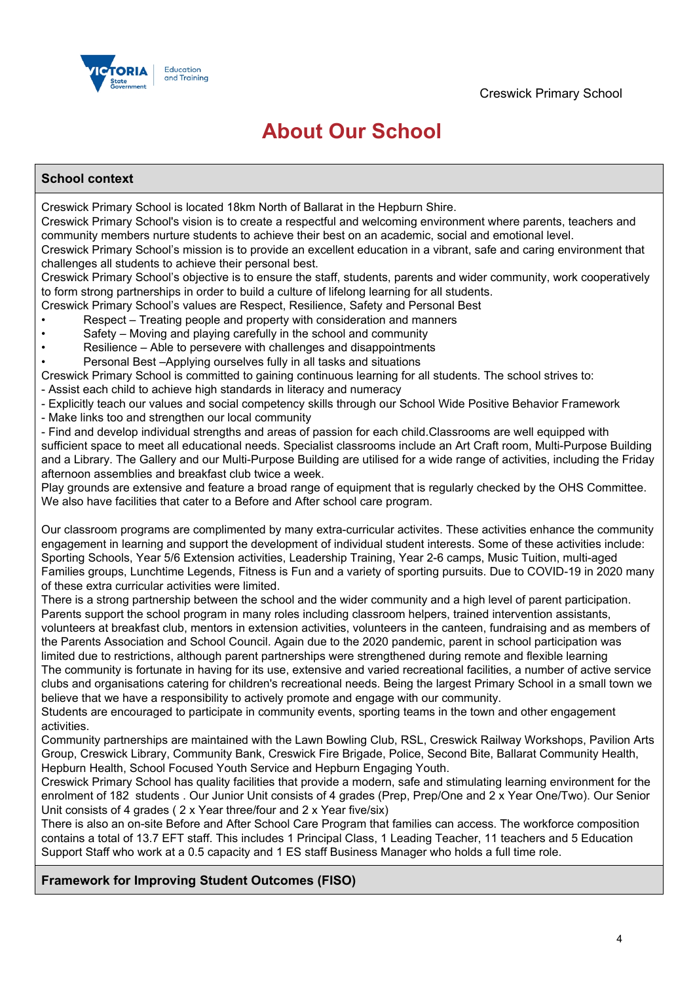

# **About Our School**

# **School context**

Creswick Primary School is located 18km North of Ballarat in the Hepburn Shire.

Creswick Primary School's vision is to create a respectful and welcoming environment where parents, teachers and community members nurture students to achieve their best on an academic, social and emotional level.

Creswick Primary School's mission is to provide an excellent education in a vibrant, safe and caring environment that challenges all students to achieve their personal best.

Creswick Primary School's objective is to ensure the staff, students, parents and wider community, work cooperatively to form strong partnerships in order to build a culture of lifelong learning for all students.

- Creswick Primary School's values are Respect, Resilience, Safety and Personal Best
- Respect Treating people and property with consideration and manners
- Safety Moving and playing carefully in the school and community
- Resilience Able to persevere with challenges and disappointments
- Personal Best –Applying ourselves fully in all tasks and situations

Creswick Primary School is committed to gaining continuous learning for all students. The school strives to:

- Assist each child to achieve high standards in literacy and numeracy
- Explicitly teach our values and social competency skills through our School Wide Positive Behavior Framework
- Make links too and strengthen our local community

- Find and develop individual strengths and areas of passion for each child.Classrooms are well equipped with sufficient space to meet all educational needs. Specialist classrooms include an Art Craft room, Multi-Purpose Building and a Library. The Gallery and our Multi-Purpose Building are utilised for a wide range of activities, including the Friday afternoon assemblies and breakfast club twice a week.

Play grounds are extensive and feature a broad range of equipment that is regularly checked by the OHS Committee. We also have facilities that cater to a Before and After school care program.

Our classroom programs are complimented by many extra-curricular activites. These activities enhance the community engagement in learning and support the development of individual student interests. Some of these activities include: Sporting Schools, Year 5/6 Extension activities, Leadership Training, Year 2-6 camps, Music Tuition, multi-aged Families groups, Lunchtime Legends, Fitness is Fun and a variety of sporting pursuits. Due to COVID-19 in 2020 many of these extra curricular activities were limited.

There is a strong partnership between the school and the wider community and a high level of parent participation. Parents support the school program in many roles including classroom helpers, trained intervention assistants, volunteers at breakfast club, mentors in extension activities, volunteers in the canteen, fundraising and as members of the Parents Association and School Council. Again due to the 2020 pandemic, parent in school participation was limited due to restrictions, although parent partnerships were strengthened during remote and flexible learning The community is fortunate in having for its use, extensive and varied recreational facilities, a number of active service

clubs and organisations catering for children's recreational needs. Being the largest Primary School in a small town we believe that we have a responsibility to actively promote and engage with our community.

Students are encouraged to participate in community events, sporting teams in the town and other engagement activities.

Community partnerships are maintained with the Lawn Bowling Club, RSL, Creswick Railway Workshops, Pavilion Arts Group, Creswick Library, Community Bank, Creswick Fire Brigade, Police, Second Bite, Ballarat Community Health, Hepburn Health, School Focused Youth Service and Hepburn Engaging Youth.

Creswick Primary School has quality facilities that provide a modern, safe and stimulating learning environment for the enrolment of 182 students . Our Junior Unit consists of 4 grades (Prep, Prep/One and 2 x Year One/Two). Our Senior Unit consists of 4 grades ( 2 x Year three/four and 2 x Year five/six)

There is also an on-site Before and After School Care Program that families can access. The workforce composition contains a total of 13.7 EFT staff. This includes 1 Principal Class, 1 Leading Teacher, 11 teachers and 5 Education Support Staff who work at a 0.5 capacity and 1 ES staff Business Manager who holds a full time role.

## **Framework for Improving Student Outcomes (FISO)**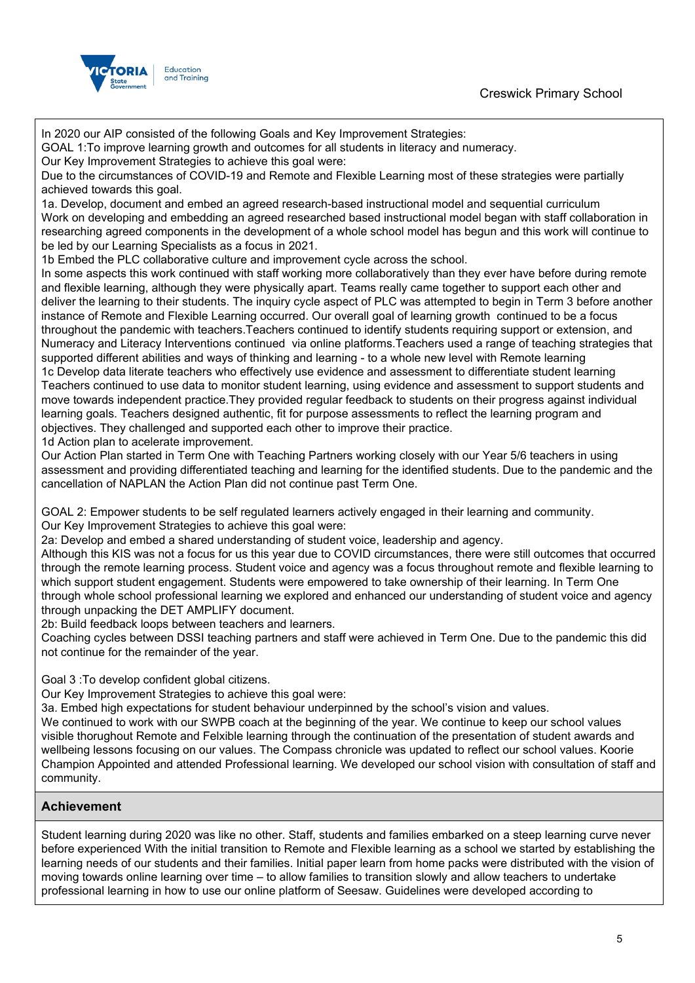

In 2020 our AIP consisted of the following Goals and Key Improvement Strategies: GOAL 1:To improve learning growth and outcomes for all students in literacy and numeracy. Our Key Improvement Strategies to achieve this goal were: Due to the circumstances of COVID-19 and Remote and Flexible Learning most of these strategies were partially achieved towards this goal. 1a. Develop, document and embed an agreed research-based instructional model and sequential curriculum Work on developing and embedding an agreed researched based instructional model began with staff collaboration in researching agreed components in the development of a whole school model has begun and this work will continue to be led by our Learning Specialists as a focus in 2021. 1b Embed the PLC collaborative culture and improvement cycle across the school. In some aspects this work continued with staff working more collaboratively than they ever have before during remote and flexible learning, although they were physically apart. Teams really came together to support each other and deliver the learning to their students. The inquiry cycle aspect of PLC was attempted to begin in Term 3 before another instance of Remote and Flexible Learning occurred. Our overall goal of learning growth continued to be a focus throughout the pandemic with teachers.Teachers continued to identify students requiring support or extension, and Numeracy and Literacy Interventions continued via online platforms.Teachers used a range of teaching strategies that supported different abilities and ways of thinking and learning - to a whole new level with Remote learning 1c Develop data literate teachers who effectively use evidence and assessment to differentiate student learning Teachers continued to use data to monitor student learning, using evidence and assessment to support students and move towards independent practice.They provided regular feedback to students on their progress against individual learning goals. Teachers designed authentic, fit for purpose assessments to reflect the learning program and objectives. They challenged and supported each other to improve their practice. 1d Action plan to acelerate improvement. Our Action Plan started in Term One with Teaching Partners working closely with our Year 5/6 teachers in using assessment and providing differentiated teaching and learning for the identified students. Due to the pandemic and the cancellation of NAPLAN the Action Plan did not continue past Term One. GOAL 2: Empower students to be self regulated learners actively engaged in their learning and community. Our Key Improvement Strategies to achieve this goal were: 2a: Develop and embed a shared understanding of student voice, leadership and agency.

Although this KIS was not a focus for us this year due to COVID circumstances, there were still outcomes that occurred through the remote learning process. Student voice and agency was a focus throughout remote and flexible learning to which support student engagement. Students were empowered to take ownership of their learning. In Term One through whole school professional learning we explored and enhanced our understanding of student voice and agency through unpacking the DET AMPLIFY document.

2b: Build feedback loops between teachers and learners.

Coaching cycles between DSSI teaching partners and staff were achieved in Term One. Due to the pandemic this did not continue for the remainder of the year.

Goal 3 :To develop confident global citizens.

Our Key Improvement Strategies to achieve this goal were:

3a. Embed high expectations for student behaviour underpinned by the school's vision and values.

We continued to work with our SWPB coach at the beginning of the year. We continue to keep our school values visible thorughout Remote and Felxible learning through the continuation of the presentation of student awards and wellbeing lessons focusing on our values. The Compass chronicle was updated to reflect our school values. Koorie Champion Appointed and attended Professional learning. We developed our school vision with consultation of staff and community.

## **Achievement**

Student learning during 2020 was like no other. Staff, students and families embarked on a steep learning curve never before experienced With the initial transition to Remote and Flexible learning as a school we started by establishing the learning needs of our students and their families. Initial paper learn from home packs were distributed with the vision of moving towards online learning over time – to allow families to transition slowly and allow teachers to undertake professional learning in how to use our online platform of Seesaw. Guidelines were developed according to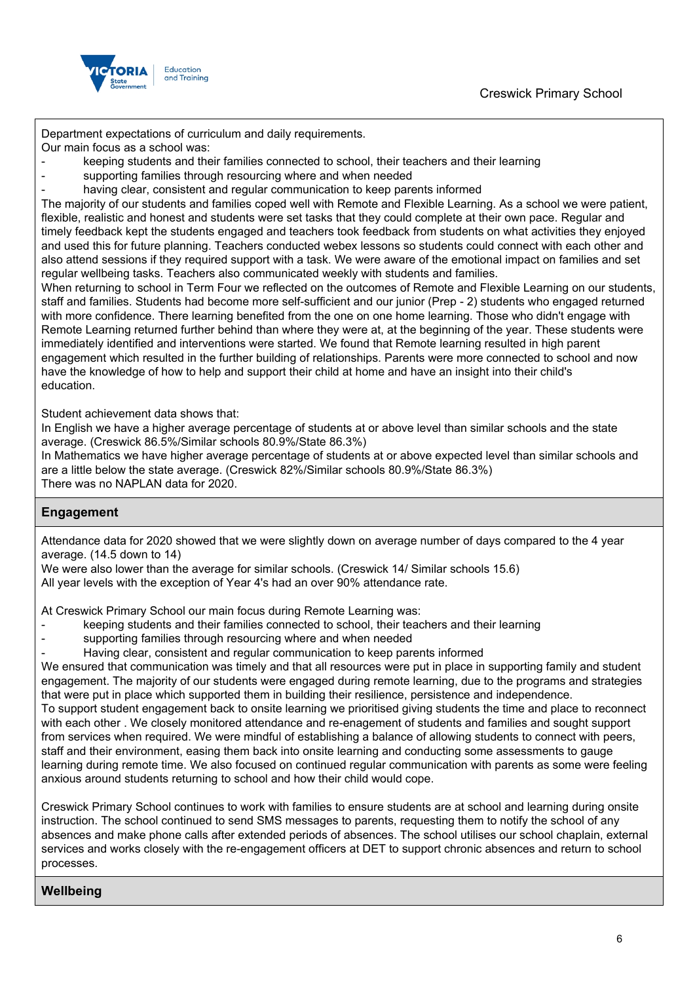

Department expectations of curriculum and daily requirements.

Our main focus as a school was:

- keeping students and their families connected to school, their teachers and their learning
- supporting families through resourcing where and when needed
- having clear, consistent and regular communication to keep parents informed

The majority of our students and families coped well with Remote and Flexible Learning. As a school we were patient, flexible, realistic and honest and students were set tasks that they could complete at their own pace. Regular and timely feedback kept the students engaged and teachers took feedback from students on what activities they enjoyed and used this for future planning. Teachers conducted webex lessons so students could connect with each other and also attend sessions if they required support with a task. We were aware of the emotional impact on families and set regular wellbeing tasks. Teachers also communicated weekly with students and families.

When returning to school in Term Four we reflected on the outcomes of Remote and Flexible Learning on our students, staff and families. Students had become more self-sufficient and our junior (Prep - 2) students who engaged returned with more confidence. There learning benefited from the one on one home learning. Those who didn't engage with Remote Learning returned further behind than where they were at, at the beginning of the year. These students were immediately identified and interventions were started. We found that Remote learning resulted in high parent engagement which resulted in the further building of relationships. Parents were more connected to school and now have the knowledge of how to help and support their child at home and have an insight into their child's education.

Student achievement data shows that:

In English we have a higher average percentage of students at or above level than similar schools and the state average. (Creswick 86.5%/Similar schools 80.9%/State 86.3%)

In Mathematics we have higher average percentage of students at or above expected level than similar schools and are a little below the state average. (Creswick 82%/Similar schools 80.9%/State 86.3%) There was no NAPLAN data for 2020.

## **Engagement**

Attendance data for 2020 showed that we were slightly down on average number of days compared to the 4 year average. (14.5 down to 14)

We were also lower than the average for similar schools. (Creswick 14/ Similar schools 15.6) All year levels with the exception of Year 4's had an over 90% attendance rate.

At Creswick Primary School our main focus during Remote Learning was:

- keeping students and their families connected to school, their teachers and their learning
- supporting families through resourcing where and when needed
- Having clear, consistent and regular communication to keep parents informed

We ensured that communication was timely and that all resources were put in place in supporting family and student engagement. The majority of our students were engaged during remote learning, due to the programs and strategies that were put in place which supported them in building their resilience, persistence and independence.

To support student engagement back to onsite learning we prioritised giving students the time and place to reconnect with each other . We closely monitored attendance and re-enagement of students and families and sought support from services when required. We were mindful of establishing a balance of allowing students to connect with peers, staff and their environment, easing them back into onsite learning and conducting some assessments to gauge learning during remote time. We also focused on continued regular communication with parents as some were feeling anxious around students returning to school and how their child would cope.

Creswick Primary School continues to work with families to ensure students are at school and learning during onsite instruction. The school continued to send SMS messages to parents, requesting them to notify the school of any absences and make phone calls after extended periods of absences. The school utilises our school chaplain, external services and works closely with the re-engagement officers at DET to support chronic absences and return to school processes.

### **Wellbeing**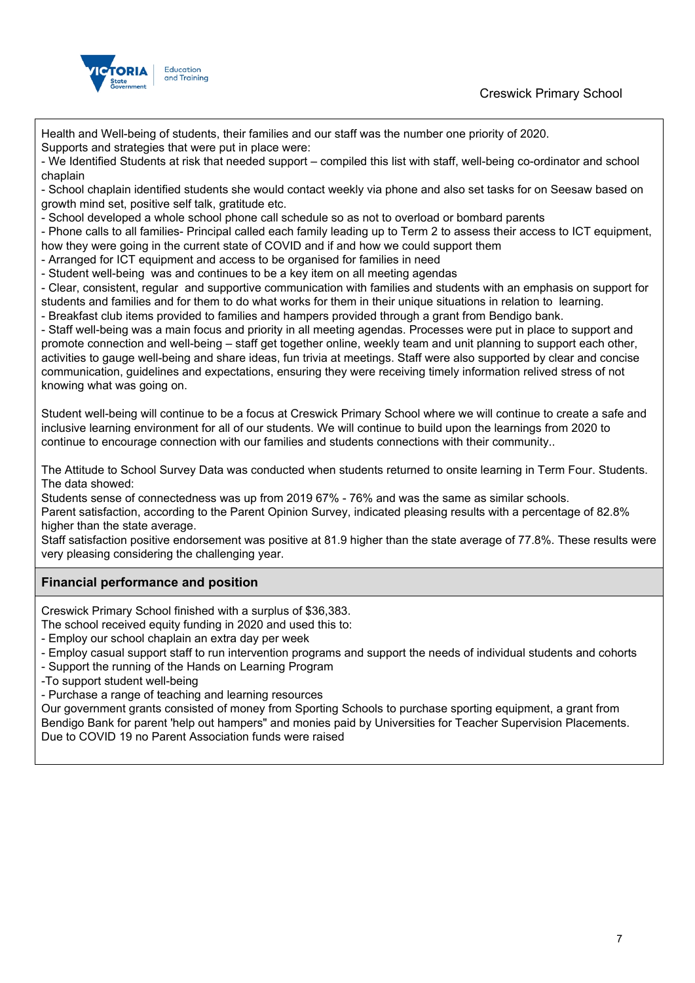



Health and Well-being of students, their families and our staff was the number one priority of 2020.

Supports and strategies that were put in place were:

- We Identified Students at risk that needed support – compiled this list with staff, well-being co-ordinator and school chaplain

- School chaplain identified students she would contact weekly via phone and also set tasks for on Seesaw based on growth mind set, positive self talk, gratitude etc.

- School developed a whole school phone call schedule so as not to overload or bombard parents

- Phone calls to all families- Principal called each family leading up to Term 2 to assess their access to ICT equipment, how they were going in the current state of COVID and if and how we could support them

- Arranged for ICT equipment and access to be organised for families in need

- Student well-being was and continues to be a key item on all meeting agendas

- Clear, consistent, regular and supportive communication with families and students with an emphasis on support for students and families and for them to do what works for them in their unique situations in relation to learning.

- Breakfast club items provided to families and hampers provided through a grant from Bendigo bank.

- Staff well-being was a main focus and priority in all meeting agendas. Processes were put in place to support and promote connection and well-being – staff get together online, weekly team and unit planning to support each other, activities to gauge well-being and share ideas, fun trivia at meetings. Staff were also supported by clear and concise communication, guidelines and expectations, ensuring they were receiving timely information relived stress of not knowing what was going on.

Student well-being will continue to be a focus at Creswick Primary School where we will continue to create a safe and inclusive learning environment for all of our students. We will continue to build upon the learnings from 2020 to continue to encourage connection with our families and students connections with their community..

The Attitude to School Survey Data was conducted when students returned to onsite learning in Term Four. Students. The data showed:

Students sense of connectedness was up from 2019 67% - 76% and was the same as similar schools.

Parent satisfaction, according to the Parent Opinion Survey, indicated pleasing results with a percentage of 82.8% higher than the state average.

Staff satisfaction positive endorsement was positive at 81.9 higher than the state average of 77.8%. These results were very pleasing considering the challenging year.

## **Financial performance and position**

Creswick Primary School finished with a surplus of \$36,383.

The school received equity funding in 2020 and used this to:

- Employ our school chaplain an extra day per week
- Employ casual support staff to run intervention programs and support the needs of individual students and cohorts
- Support the running of the Hands on Learning Program
- -To support student well-being

- Purchase a range of teaching and learning resources

Our government grants consisted of money from Sporting Schools to purchase sporting equipment, a grant from Bendigo Bank for parent 'help out hampers" and monies paid by Universities for Teacher Supervision Placements. Due to COVID 19 no Parent Association funds were raised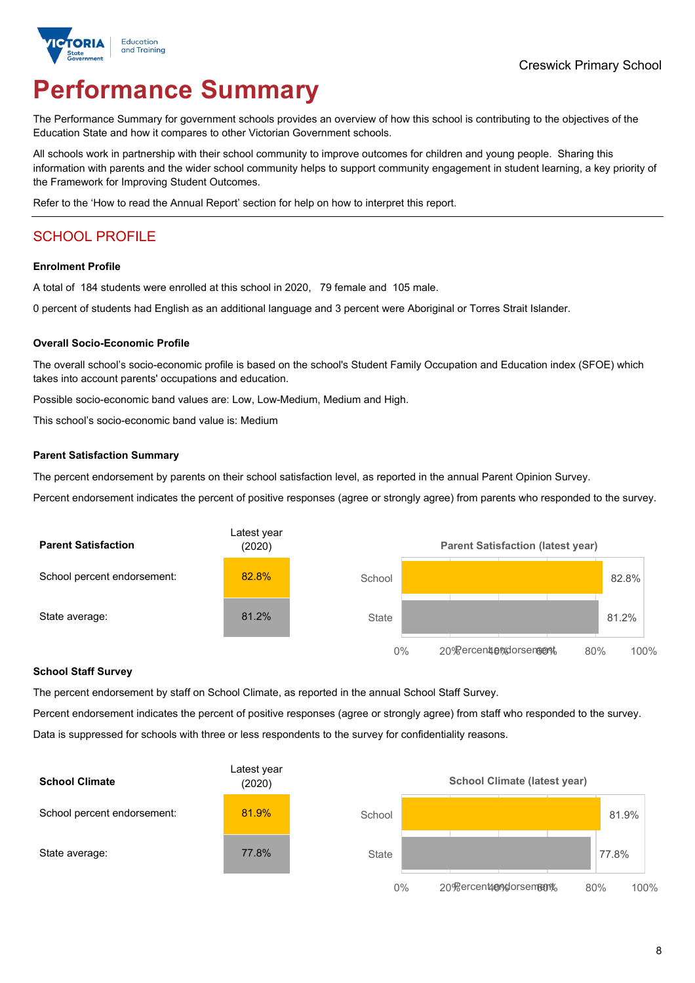

# **Performance Summary**

The Performance Summary for government schools provides an overview of how this school is contributing to the objectives of the Education State and how it compares to other Victorian Government schools.

All schools work in partnership with their school community to improve outcomes for children and young people. Sharing this information with parents and the wider school community helps to support community engagement in student learning, a key priority of the Framework for Improving Student Outcomes.

Refer to the 'How to read the Annual Report' section for help on how to interpret this report.

# SCHOOL PROFILE

#### **Enrolment Profile**

A total of 184 students were enrolled at this school in 2020, 79 female and 105 male.

0 percent of students had English as an additional language and 3 percent were Aboriginal or Torres Strait Islander.

#### **Overall Socio-Economic Profile**

The overall school's socio-economic profile is based on the school's Student Family Occupation and Education index (SFOE) which takes into account parents' occupations and education.

Possible socio-economic band values are: Low, Low-Medium, Medium and High.

This school's socio-economic band value is: Medium

#### **Parent Satisfaction Summary**

The percent endorsement by parents on their school satisfaction level, as reported in the annual Parent Opinion Survey.

Percent endorsement indicates the percent of positive responses (agree or strongly agree) from parents who responded to the survey.



#### **School Staff Survey**

The percent endorsement by staff on School Climate, as reported in the annual School Staff Survey.

Percent endorsement indicates the percent of positive responses (agree or strongly agree) from staff who responded to the survey. Data is suppressed for schools with three or less respondents to the survey for confidentiality reasons.

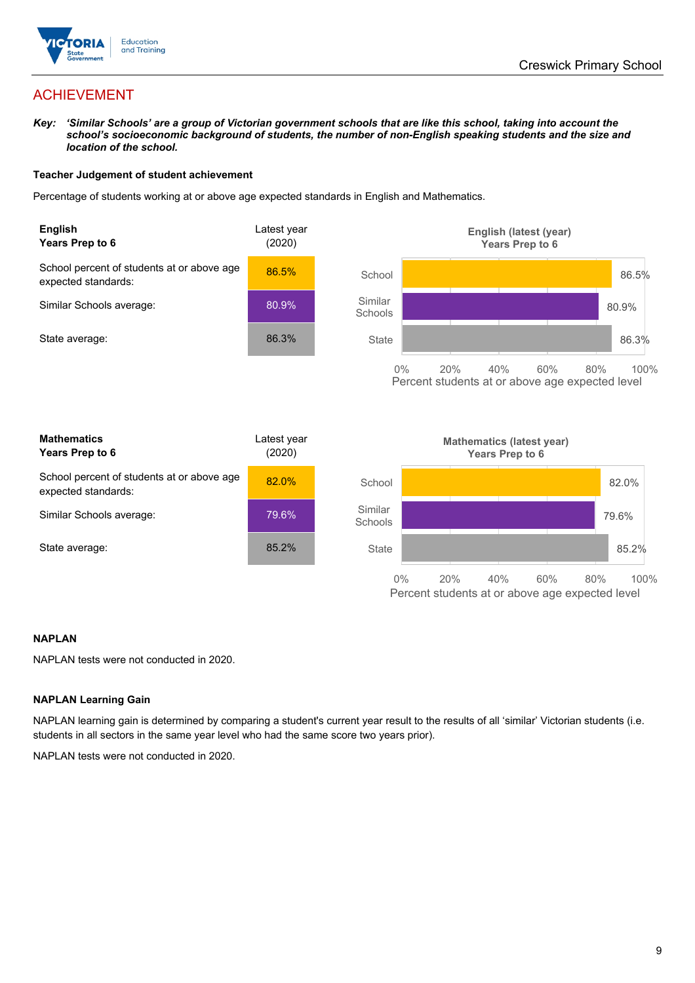

# ACHIEVEMENT

Key: 'Similar Schools' are a group of Victorian government schools that are like this school, taking into account the *school's socioeconomic background of students, the number of non-English speaking students and the size and location of the school.*

#### **Teacher Judgement of student achievement**

Percentage of students working at or above age expected standards in English and Mathematics.



#### **NAPLAN**

NAPLAN tests were not conducted in 2020.

#### **NAPLAN Learning Gain**

NAPLAN learning gain is determined by comparing a student's current year result to the results of all 'similar' Victorian students (i.e. students in all sectors in the same year level who had the same score two years prior).

NAPLAN tests were not conducted in 2020.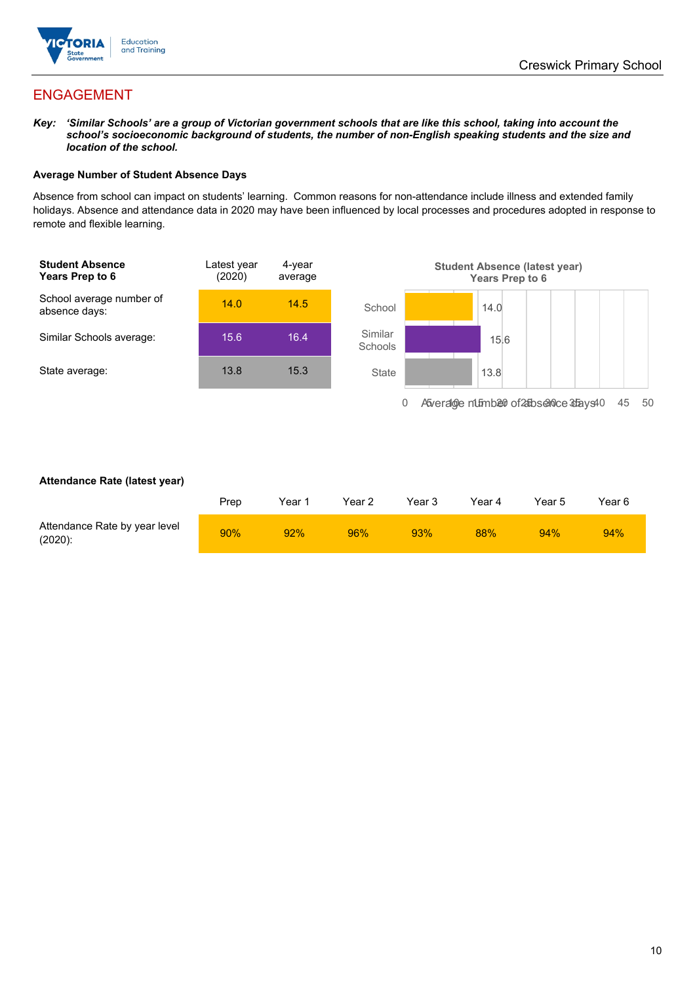

# ENGAGEMENT

Key: 'Similar Schools' are a group of Victorian government schools that are like this school, taking into account the *school's socioeconomic background of students, the number of non-English speaking students and the size and location of the school.*

#### **Average Number of Student Absence Days**

Absence from school can impact on students' learning. Common reasons for non-attendance include illness and extended family holidays. Absence and attendance data in 2020 may have been influenced by local processes and procedures adopted in response to remote and flexible learning.



#### **Attendance Rate (latest year)**

|                                             | Prep | Year 1 | Year 2 | Year 3 | Year 4 | Year 5 | Year 6 |
|---------------------------------------------|------|--------|--------|--------|--------|--------|--------|
| Attendance Rate by year level<br>$(2020)$ : | 90%  | 92%    | 96%    | 93%    | 88%    | 94%    | 94%    |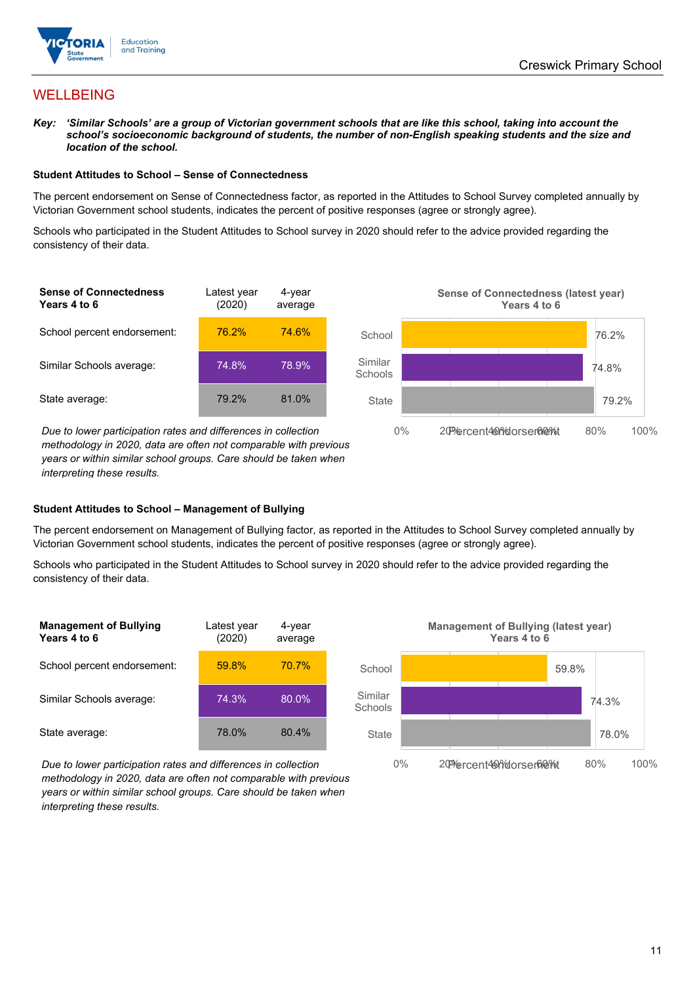

# WELLBEING

Key: 'Similar Schools' are a group of Victorian government schools that are like this school, taking into account the *school's socioeconomic background of students, the number of non-English speaking students and the size and location of the school.*

#### **Student Attitudes to School – Sense of Connectedness**

The percent endorsement on Sense of Connectedness factor, as reported in the Attitudes to School Survey completed annually by Victorian Government school students, indicates the percent of positive responses (agree or strongly agree).

Schools who participated in the Student Attitudes to School survey in 2020 should refer to the advice provided regarding the consistency of their data.

| <b>Sense of Connectedness</b><br>Years 4 to 6 | Latest year<br>(2020) | 4-year<br>average |  |
|-----------------------------------------------|-----------------------|-------------------|--|
| School percent endorsement:                   | 76.2%                 | 74.6%             |  |
| Similar Schools average:                      | 74.8%                 | 78.9%             |  |
| State average:                                | 79.2%                 | 81.0%             |  |

*Due* to lower participation rates and differences in collection *methodology in 2020, data are often not comparable with previous years or within similar school groups. Care should be taken when interpreting these results.*



#### **Student Attitudes to School – Management of Bullying**

The percent endorsement on Management of Bullying factor, as reported in the Attitudes to School Survey completed annually by Victorian Government school students, indicates the percent of positive responses (agree or strongly agree).

Schools who participated in the Student Attitudes to School survey in 2020 should refer to the advice provided regarding the consistency of their data.

| <b>Management of Bullying</b><br>Years 4 to 6 | Latest year<br>(2020) | 4-year<br>average |
|-----------------------------------------------|-----------------------|-------------------|
| School percent endorsement:                   | 59.8%                 | 70.7%             |
| Similar Schools average:                      | 74.3%                 | 80.0%             |
| State average:                                | 78.0%                 | 80.4%             |



**Management of Bullying (latest year) Years 4 to 6**

*Due to lower participation rates and differences in collection methodology in 2020, data are often not comparable with previous years or within similar school groups. Care should be taken when interpreting these results.*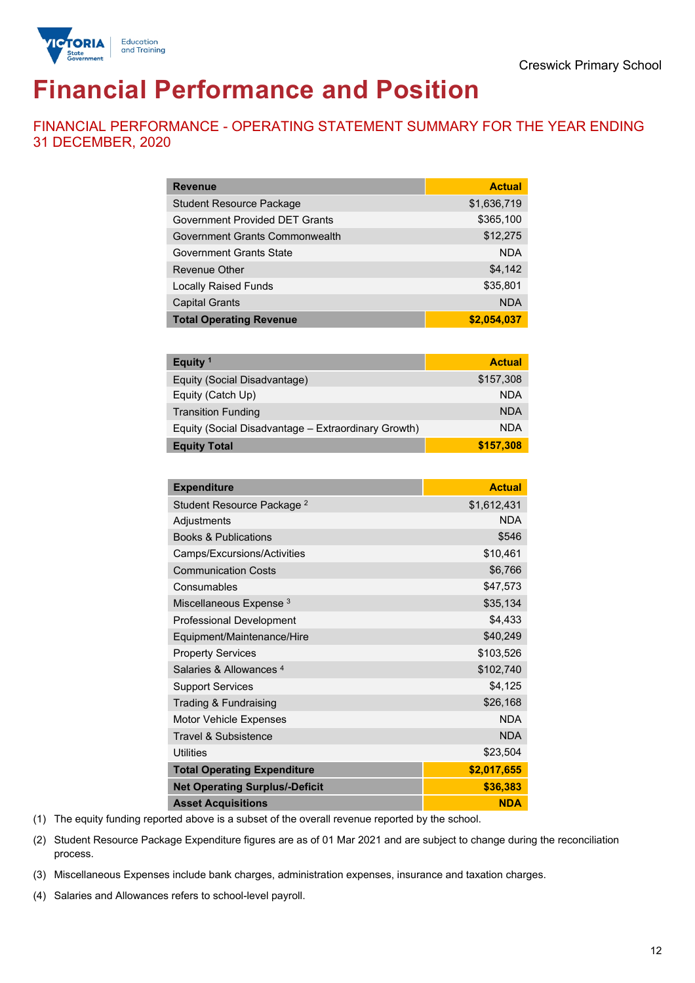

# **Financial Performance and Position**

FINANCIAL PERFORMANCE - OPERATING STATEMENT SUMMARY FOR THE YEAR ENDING 31 DECEMBER, 2020

| <b>Revenue</b>                  | <b>Actual</b> |
|---------------------------------|---------------|
| <b>Student Resource Package</b> | \$1,636,719   |
| Government Provided DET Grants  | \$365,100     |
| Government Grants Commonwealth  | \$12,275      |
| Government Grants State         | <b>NDA</b>    |
| Revenue Other                   | \$4,142       |
| <b>Locally Raised Funds</b>     | \$35,801      |
| <b>Capital Grants</b>           | <b>NDA</b>    |
| <b>Total Operating Revenue</b>  | \$2,054,037   |

| Equity <sup>1</sup>                                 | <b>Actual</b> |
|-----------------------------------------------------|---------------|
| Equity (Social Disadvantage)                        | \$157,308     |
| Equity (Catch Up)                                   | <b>NDA</b>    |
| <b>Transition Funding</b>                           | <b>NDA</b>    |
| Equity (Social Disadvantage – Extraordinary Growth) | <b>NDA</b>    |
| <b>Equity Total</b>                                 | \$157,308     |

| <b>Expenditure</b>                    | <b>Actual</b> |
|---------------------------------------|---------------|
| Student Resource Package <sup>2</sup> | \$1,612,431   |
| Adjustments                           | <b>NDA</b>    |
| <b>Books &amp; Publications</b>       | \$546         |
| Camps/Excursions/Activities           | \$10,461      |
| <b>Communication Costs</b>            | \$6,766       |
| Consumables                           | \$47,573      |
| Miscellaneous Expense <sup>3</sup>    | \$35,134      |
| <b>Professional Development</b>       | \$4,433       |
| Equipment/Maintenance/Hire            | \$40,249      |
| <b>Property Services</b>              | \$103,526     |
| Salaries & Allowances 4               | \$102,740     |
| <b>Support Services</b>               | \$4,125       |
| Trading & Fundraising                 | \$26,168      |
| Motor Vehicle Expenses                | <b>NDA</b>    |
| Travel & Subsistence                  | <b>NDA</b>    |
| <b>Utilities</b>                      | \$23,504      |
| <b>Total Operating Expenditure</b>    | \$2,017,655   |
| <b>Net Operating Surplus/-Deficit</b> | \$36,383      |
| <b>Asset Acquisitions</b>             | <b>NDA</b>    |

(1) The equity funding reported above is a subset of the overall revenue reported by the school.

(2) Student Resource Package Expenditure figures are as of 01 Mar 2021 and are subject to change during the reconciliation process.

(3) Miscellaneous Expenses include bank charges, administration expenses, insurance and taxation charges.

(4) Salaries and Allowances refers to school-level payroll.